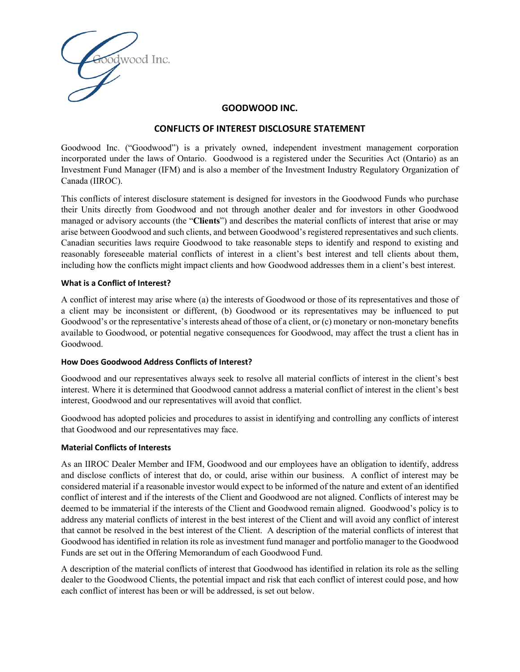

#### **GOODWOOD INC.**

# **CONFLICTS OF INTEREST DISCLOSURE STATEMENT**

Goodwood Inc. ("Goodwood") is a privately owned, independent investment management corporation incorporated under the laws of Ontario. Goodwood is a registered under the Securities Act (Ontario) as an Investment Fund Manager (IFM) and is also a member of the Investment Industry Regulatory Organization of Canada (IIROC).

This conflicts of interest disclosure statement is designed for investors in the Goodwood Funds who purchase their Units directly from Goodwood and not through another dealer and for investors in other Goodwood managed or advisory accounts (the "**Clients**") and describes the material conflicts of interest that arise or may arise between Goodwood and such clients, and between Goodwood's registered representatives and such clients. Canadian securities laws require Goodwood to take reasonable steps to identify and respond to existing and reasonably foreseeable material conflicts of interest in a client's best interest and tell clients about them, including how the conflicts might impact clients and how Goodwood addresses them in a client's best interest.

#### **What is a Conflict of Interest?**

A conflict of interest may arise where (a) the interests of Goodwood or those of its representatives and those of a client may be inconsistent or different, (b) Goodwood or its representatives may be influenced to put Goodwood's or the representative's interests ahead of those of a client, or (c) monetary or non-monetary benefits available to Goodwood, or potential negative consequences for Goodwood, may affect the trust a client has in Goodwood.

#### **How Does Goodwood Address Conflicts of Interest?**

Goodwood and our representatives always seek to resolve all material conflicts of interest in the client's best interest. Where it is determined that Goodwood cannot address a material conflict of interest in the client's best interest, Goodwood and our representatives will avoid that conflict.

Goodwood has adopted policies and procedures to assist in identifying and controlling any conflicts of interest that Goodwood and our representatives may face.

#### **Material Conflicts of Interests**

As an IIROC Dealer Member and IFM, Goodwood and our employees have an obligation to identify, address and disclose conflicts of interest that do, or could, arise within our business. A conflict of interest may be considered material if a reasonable investor would expect to be informed of the nature and extent of an identified conflict of interest and if the interests of the Client and Goodwood are not aligned. Conflicts of interest may be deemed to be immaterial if the interests of the Client and Goodwood remain aligned. Goodwood's policy is to address any material conflicts of interest in the best interest of the Client and will avoid any conflict of interest that cannot be resolved in the best interest of the Client. A description of the material conflicts of interest that Goodwood has identified in relation its role as investment fund manager and portfolio manager to the Goodwood Funds are set out in the Offering Memorandum of each Goodwood Fund.

A description of the material conflicts of interest that Goodwood has identified in relation its role as the selling dealer to the Goodwood Clients, the potential impact and risk that each conflict of interest could pose, and how each conflict of interest has been or will be addressed, is set out below.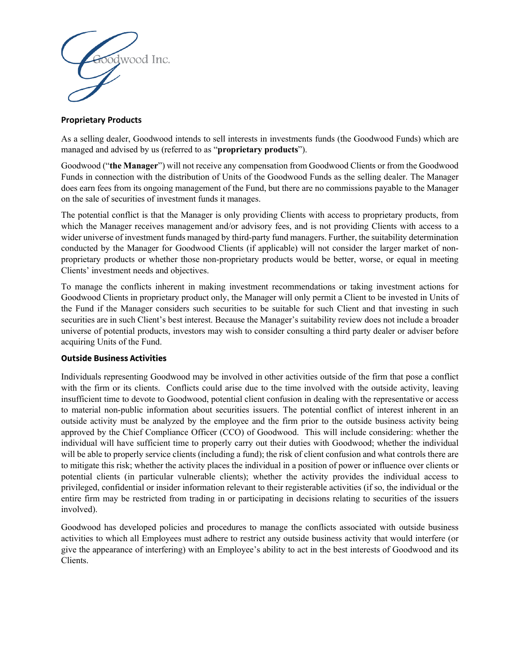

# **Proprietary Products**

As a selling dealer, Goodwood intends to sell interests in investments funds (the Goodwood Funds) which are managed and advised by us (referred to as "**proprietary products**").

Goodwood ("**the Manager**") will not receive any compensation from Goodwood Clients or from the Goodwood Funds in connection with the distribution of Units of the Goodwood Funds as the selling dealer. The Manager does earn fees from its ongoing management of the Fund, but there are no commissions payable to the Manager on the sale of securities of investment funds it manages.

The potential conflict is that the Manager is only providing Clients with access to proprietary products, from which the Manager receives management and/or advisory fees, and is not providing Clients with access to a wider universe of investment funds managed by third-party fund managers. Further, the suitability determination conducted by the Manager for Goodwood Clients (if applicable) will not consider the larger market of nonproprietary products or whether those non-proprietary products would be better, worse, or equal in meeting Clients' investment needs and objectives.

To manage the conflicts inherent in making investment recommendations or taking investment actions for Goodwood Clients in proprietary product only, the Manager will only permit a Client to be invested in Units of the Fund if the Manager considers such securities to be suitable for such Client and that investing in such securities are in such Client's best interest. Because the Manager's suitability review does not include a broader universe of potential products, investors may wish to consider consulting a third party dealer or adviser before acquiring Units of the Fund.

## **Outside Business Activities**

Individuals representing Goodwood may be involved in other activities outside of the firm that pose a conflict with the firm or its clients. Conflicts could arise due to the time involved with the outside activity, leaving insufficient time to devote to Goodwood, potential client confusion in dealing with the representative or access to material non-public information about securities issuers. The potential conflict of interest inherent in an outside activity must be analyzed by the employee and the firm prior to the outside business activity being approved by the Chief Compliance Officer (CCO) of Goodwood. This will include considering: whether the individual will have sufficient time to properly carry out their duties with Goodwood; whether the individual will be able to properly service clients (including a fund); the risk of client confusion and what controls there are to mitigate this risk; whether the activity places the individual in a position of power or influence over clients or potential clients (in particular vulnerable clients); whether the activity provides the individual access to privileged, confidential or insider information relevant to their registerable activities (if so, the individual or the entire firm may be restricted from trading in or participating in decisions relating to securities of the issuers involved).

Goodwood has developed policies and procedures to manage the conflicts associated with outside business activities to which all Employees must adhere to restrict any outside business activity that would interfere (or give the appearance of interfering) with an Employee's ability to act in the best interests of Goodwood and its Clients.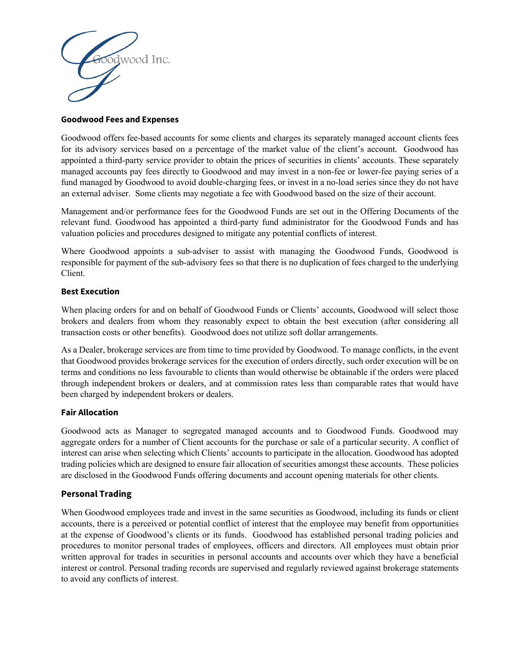

## **Goodwood Fees and Expenses**

Goodwood offers fee-based accounts for some clients and charges its separately managed account clients fees for its advisory services based on a percentage of the market value of the client's account. Goodwood has appointed a third-party service provider to obtain the prices of securities in clients' accounts. These separately managed accounts pay fees directly to Goodwood and may invest in a non-fee or lower-fee paying series of a fund managed by Goodwood to avoid double-charging fees, or invest in a no-load series since they do not have an external adviser. Some clients may negotiate a fee with Goodwood based on the size of their account.

Management and/or performance fees for the Goodwood Funds are set out in the Offering Documents of the relevant fund. Goodwood has appointed a third-party fund administrator for the Goodwood Funds and has valuation policies and procedures designed to mitigate any potential conflicts of interest.

Where Goodwood appoints a sub-adviser to assist with managing the Goodwood Funds, Goodwood is responsible for payment of the sub-advisory fees so that there is no duplication of fees charged to the underlying Client.

## **Best Execution**

When placing orders for and on behalf of Goodwood Funds or Clients' accounts, Goodwood will select those brokers and dealers from whom they reasonably expect to obtain the best execution (after considering all transaction costs or other benefits). Goodwood does not utilize soft dollar arrangements.

As a Dealer, brokerage services are from time to time provided by Goodwood. To manage conflicts, in the event that Goodwood provides brokerage services for the execution of orders directly, such order execution will be on terms and conditions no less favourable to clients than would otherwise be obtainable if the orders were placed through independent brokers or dealers, and at commission rates less than comparable rates that would have been charged by independent brokers or dealers.

## **Fair Allocation**

Goodwood acts as Manager to segregated managed accounts and to Goodwood Funds. Goodwood may aggregate orders for a number of Client accounts for the purchase or sale of a particular security. A conflict of interest can arise when selecting which Clients' accounts to participate in the allocation. Goodwood has adopted trading policies which are designed to ensure fair allocation of securities amongst these accounts. These policies are disclosed in the Goodwood Funds offering documents and account opening materials for other clients.

# **Personal Trading**

When Goodwood employees trade and invest in the same securities as Goodwood, including its funds or client accounts, there is a perceived or potential conflict of interest that the employee may benefit from opportunities at the expense of Goodwood's clients or its funds. Goodwood has established personal trading policies and procedures to monitor personal trades of employees, officers and directors. All employees must obtain prior written approval for trades in securities in personal accounts and accounts over which they have a beneficial interest or control. Personal trading records are supervised and regularly reviewed against brokerage statements to avoid any conflicts of interest.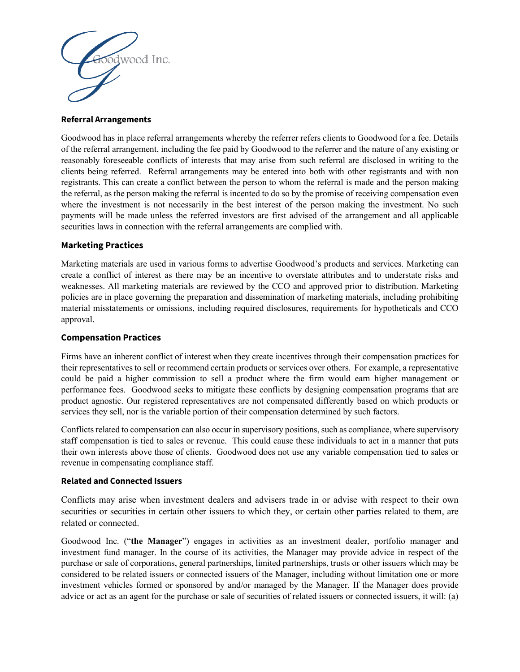

#### **Referral Arrangements**

Goodwood has in place referral arrangements whereby the referrer refers clients to Goodwood for a fee. Details of the referral arrangement, including the fee paid by Goodwood to the referrer and the nature of any existing or reasonably foreseeable conflicts of interests that may arise from such referral are disclosed in writing to the clients being referred. Referral arrangements may be entered into both with other registrants and with non registrants. This can create a conflict between the person to whom the referral is made and the person making the referral, as the person making the referral is incented to do so by the promise of receiving compensation even where the investment is not necessarily in the best interest of the person making the investment. No such payments will be made unless the referred investors are first advised of the arrangement and all applicable securities laws in connection with the referral arrangements are complied with.

## **Marketing Practices**

Marketing materials are used in various forms to advertise Goodwood's products and services. Marketing can create a conflict of interest as there may be an incentive to overstate attributes and to understate risks and weaknesses. All marketing materials are reviewed by the CCO and approved prior to distribution. Marketing policies are in place governing the preparation and dissemination of marketing materials, including prohibiting material misstatements or omissions, including required disclosures, requirements for hypotheticals and CCO approval.

## **Compensation Practices**

Firms have an inherent conflict of interest when they create incentives through their compensation practices for their representatives to sell or recommend certain products or services over others. For example, a representative could be paid a higher commission to sell a product where the firm would earn higher management or performance fees. Goodwood seeks to mitigate these conflicts by designing compensation programs that are product agnostic. Our registered representatives are not compensated differently based on which products or services they sell, nor is the variable portion of their compensation determined by such factors.

Conflicts related to compensation can also occur in supervisory positions, such as compliance, where supervisory staff compensation is tied to sales or revenue. This could cause these individuals to act in a manner that puts their own interests above those of clients. Goodwood does not use any variable compensation tied to sales or revenue in compensating compliance staff.

## **Related and Connected Issuers**

Conflicts may arise when investment dealers and advisers trade in or advise with respect to their own securities or securities in certain other issuers to which they, or certain other parties related to them, are related or connected.

Goodwood Inc. ("**the Manager**") engages in activities as an investment dealer, portfolio manager and investment fund manager. In the course of its activities, the Manager may provide advice in respect of the purchase or sale of corporations, general partnerships, limited partnerships, trusts or other issuers which may be considered to be related issuers or connected issuers of the Manager, including without limitation one or more investment vehicles formed or sponsored by and/or managed by the Manager. If the Manager does provide advice or act as an agent for the purchase or sale of securities of related issuers or connected issuers, it will: (a)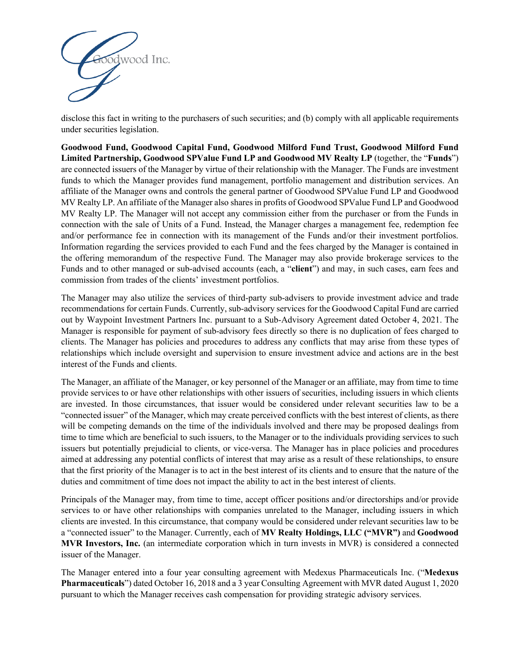

disclose this fact in writing to the purchasers of such securities; and (b) comply with all applicable requirements under securities legislation.

**Goodwood Fund, Goodwood Capital Fund, Goodwood Milford Fund Trust, Goodwood Milford Fund Limited Partnership, Goodwood SPValue Fund LP and Goodwood MV Realty LP** (together, the "**Funds**") are connected issuers of the Manager by virtue of their relationship with the Manager. The Funds are investment funds to which the Manager provides fund management, portfolio management and distribution services. An affiliate of the Manager owns and controls the general partner of Goodwood SPValue Fund LP and Goodwood MV Realty LP. An affiliate of the Manager also shares in profits of Goodwood SPValue Fund LP and Goodwood MV Realty LP. The Manager will not accept any commission either from the purchaser or from the Funds in connection with the sale of Units of a Fund. Instead, the Manager charges a management fee, redemption fee and/or performance fee in connection with its management of the Funds and/or their investment portfolios. Information regarding the services provided to each Fund and the fees charged by the Manager is contained in the offering memorandum of the respective Fund. The Manager may also provide brokerage services to the Funds and to other managed or sub-advised accounts (each, a "**client**") and may, in such cases, earn fees and commission from trades of the clients' investment portfolios.

The Manager may also utilize the services of third-party sub-advisers to provide investment advice and trade recommendations for certain Funds. Currently, sub-advisory services for the Goodwood Capital Fund are carried out by Waypoint Investment Partners Inc. pursuant to a Sub-Advisory Agreement dated October 4, 2021. The Manager is responsible for payment of sub-advisory fees directly so there is no duplication of fees charged to clients. The Manager has policies and procedures to address any conflicts that may arise from these types of relationships which include oversight and supervision to ensure investment advice and actions are in the best interest of the Funds and clients.

The Manager, an affiliate of the Manager, or key personnel of the Manager or an affiliate, may from time to time provide services to or have other relationships with other issuers of securities, including issuers in which clients are invested. In those circumstances, that issuer would be considered under relevant securities law to be a "connected issuer" of the Manager, which may create perceived conflicts with the best interest of clients, as there will be competing demands on the time of the individuals involved and there may be proposed dealings from time to time which are beneficial to such issuers, to the Manager or to the individuals providing services to such issuers but potentially prejudicial to clients, or vice-versa. The Manager has in place policies and procedures aimed at addressing any potential conflicts of interest that may arise as a result of these relationships, to ensure that the first priority of the Manager is to act in the best interest of its clients and to ensure that the nature of the duties and commitment of time does not impact the ability to act in the best interest of clients.

Principals of the Manager may, from time to time, accept officer positions and/or directorships and/or provide services to or have other relationships with companies unrelated to the Manager, including issuers in which clients are invested. In this circumstance, that company would be considered under relevant securities law to be a "connected issuer" to the Manager. Currently, each of **MV Realty Holdings, LLC ("MVR")** and **Goodwood MVR Investors, Inc.** (an intermediate corporation which in turn invests in MVR) is considered a connected issuer of the Manager.

The Manager entered into a four year consulting agreement with Medexus Pharmaceuticals Inc. ("**Medexus Pharmaceuticals**") dated October 16, 2018 and a 3 year Consulting Agreement with MVR dated August 1, 2020 pursuant to which the Manager receives cash compensation for providing strategic advisory services.